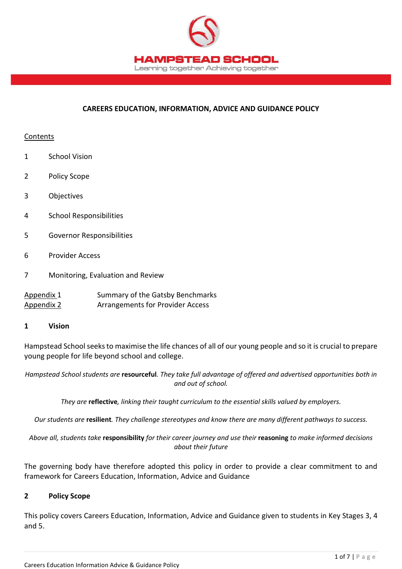

### **CAREERS EDUCATION, INFORMATION, ADVICE AND GUIDANCE POLICY**

### Contents

- 1 School Vision
- 2 Policy Scope
- 3 Objectives
- 4 School Responsibilities
- 5 Governor Responsibilities
- 6 Provider Access
- 7 Monitoring, Evaluation and Review
- Appendix 1 Summary of the Gatsby Benchmarks Appendix 2 Arrangements for Provider Access

#### **1 Vision**

Hampstead School seeks to maximise the life chances of all of our young people and so it is crucial to prepare young people for life beyond school and college.

*Hampstead School students are* **resourceful***. They take full advantage of offered and advertised opportunities both in and out of school.*

*They are* **reflective***, linking their taught curriculum to the essential skills valued by employers.* 

*Our students are* **resilient***. They challenge stereotypes and know there are many different pathways to success.*

*Above all, students take* **responsibility** *for their career journey and use their* **reasoning** *to make informed decisions about their future*

The governing body have therefore adopted this policy in order to provide a clear commitment to and framework for Careers Education, Information, Advice and Guidance

### **2 Policy Scope**

This policy covers Careers Education, Information, Advice and Guidance given to students in Key Stages 3, 4 and 5.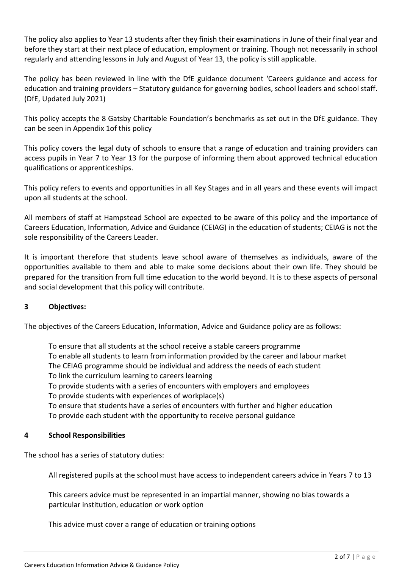The policy also applies to Year 13 students after they finish their examinations in June of their final year and before they start at their next place of education, employment or training. Though not necessarily in school regularly and attending lessons in July and August of Year 13, the policy is still applicable.

The policy has been reviewed in line with the DfE guidance document 'Careers guidance and access for education and training providers – Statutory guidance for governing bodies, school leaders and school staff. (DfE, Updated July 2021)

This policy accepts the 8 Gatsby Charitable Foundation's benchmarks as set out in the DfE guidance. They can be seen in Appendix 1of this policy

This policy covers the legal duty of schools to ensure that a range of education and training providers can access pupils in Year 7 to Year 13 for the purpose of informing them about approved technical education qualifications or apprenticeships.

This policy refers to events and opportunities in all Key Stages and in all years and these events will impact upon all students at the school.

All members of staff at Hampstead School are expected to be aware of this policy and the importance of Careers Education, Information, Advice and Guidance (CEIAG) in the education of students; CEIAG is not the sole responsibility of the Careers Leader.

It is important therefore that students leave school aware of themselves as individuals, aware of the opportunities available to them and able to make some decisions about their own life. They should be prepared for the transition from full time education to the world beyond. It is to these aspects of personal and social development that this policy will contribute.

# **3 Objectives:**

The objectives of the Careers Education, Information, Advice and Guidance policy are as follows:

To ensure that all students at the school receive a stable careers programme To enable all students to learn from information provided by the career and labour market The CEIAG programme should be individual and address the needs of each student To link the curriculum learning to careers learning To provide students with a series of encounters with employers and employees To provide students with experiences of workplace(s) To ensure that students have a series of encounters with further and higher education To provide each student with the opportunity to receive personal guidance

### **4 School Responsibilities**

The school has a series of statutory duties:

All registered pupils at the school must have access to independent careers advice in Years 7 to 13

This careers advice must be represented in an impartial manner, showing no bias towards a particular institution, education or work option

This advice must cover a range of education or training options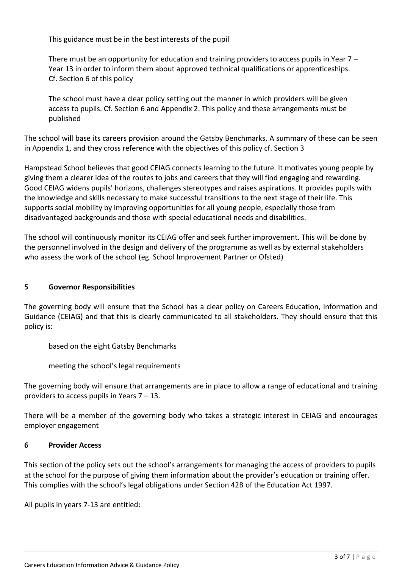This guidance must be in the best interests of the pupil

There must be an opportunity for education and training providers to access pupils in Year 7 – Year 13 in order to inform them about approved technical qualifications or apprenticeships. Cf. Section 6 of this policy

The school must have a clear policy setting out the manner in which providers will be given access to pupils. Cf. Section 6 and Appendix 2. This policy and these arrangements must be published

The school will base its careers provision around the Gatsby Benchmarks. A summary of these can be seen in Appendix 1, and they cross reference with the objectives of this policy cf. Section 3

Hampstead School believes that good CEIAG connects learning to the future. It motivates young people by giving them a clearer idea of the routes to jobs and careers that they will find engaging and rewarding. Good CEIAG widens pupils' horizons, challenges stereotypes and raises aspirations. It provides pupils with the knowledge and skills necessary to make successful transitions to the next stage of their life. This supports social mobility by improving opportunities for all young people, especially those from disadvantaged backgrounds and those with special educational needs and disabilities.

The school will continuously monitor its CEIAG offer and seek further improvement. This will be done by the personnel involved in the design and delivery of the programme as well as by external stakeholders who assess the work of the school (eg. School Improvement Partner or Ofsted)

# **5 Governor Responsibilities**

The governing body will ensure that the School has a clear policy on Careers Education, Information and Guidance (CEIAG) and that this is clearly communicated to all stakeholders. They should ensure that this policy is:

based on the eight Gatsby Benchmarks

meeting the school's legal requirements

The governing body will ensure that arrangements are in place to allow a range of educational and training providers to access pupils in Years 7 – 13.

There will be a member of the governing body who takes a strategic interest in CEIAG and encourages employer engagement

### **6 Provider Access**

This section of the policy sets out the school's arrangements for managing the access of providers to pupils at the school for the purpose of giving them information about the provider's education or training offer. This complies with the school's legal obligations under Section 42B of the Education Act 1997.

All pupils in years 7-13 are entitled: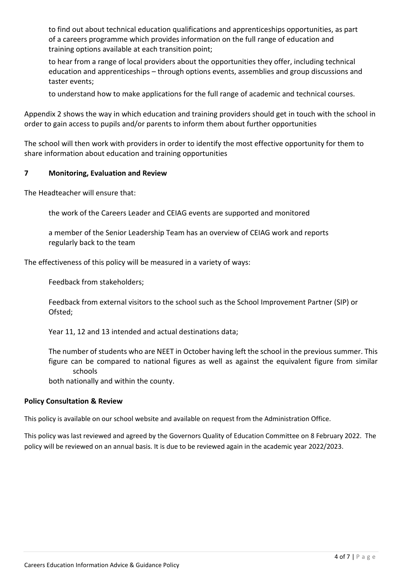to find out about technical education qualifications and apprenticeships opportunities, as part of a careers programme which provides information on the full range of education and training options available at each transition point;

to hear from a range of local providers about the opportunities they offer, including technical education and apprenticeships – through options events, assemblies and group discussions and taster events;

to understand how to make applications for the full range of academic and technical courses.

Appendix 2 shows the way in which education and training providers should get in touch with the school in order to gain access to pupils and/or parents to inform them about further opportunities

The school will then work with providers in order to identify the most effective opportunity for them to share information about education and training opportunities

## **7 Monitoring, Evaluation and Review**

The Headteacher will ensure that:

the work of the Careers Leader and CEIAG events are supported and monitored

a member of the Senior Leadership Team has an overview of CEIAG work and reports regularly back to the team

The effectiveness of this policy will be measured in a variety of ways:

Feedback from stakeholders;

Feedback from external visitors to the school such as the School Improvement Partner (SIP) or Ofsted;

Year 11, 12 and 13 intended and actual destinations data;

The number of students who are NEET in October having left the school in the previous summer. This figure can be compared to national figures as well as against the equivalent figure from similar schools

both nationally and within the county.

### **Policy Consultation & Review**

This policy is available on our school website and available on request from the Administration Office.

This policy was last reviewed and agreed by the Governors Quality of Education Committee on 8 February 2022. The policy will be reviewed on an annual basis. It is due to be reviewed again in the academic year 2022/2023.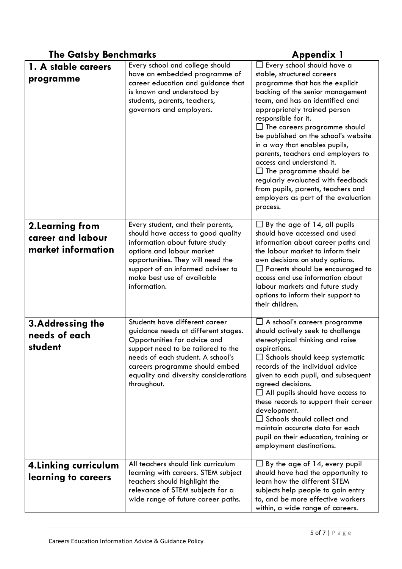| <b>The Gatsby Benchmarks</b>                                |                                                                                                                                                                                                                                                                            | <b>Appendix 1</b>                                                                                                                                                                                                                                                                                                                                                                                                                                                                                                                                                                   |
|-------------------------------------------------------------|----------------------------------------------------------------------------------------------------------------------------------------------------------------------------------------------------------------------------------------------------------------------------|-------------------------------------------------------------------------------------------------------------------------------------------------------------------------------------------------------------------------------------------------------------------------------------------------------------------------------------------------------------------------------------------------------------------------------------------------------------------------------------------------------------------------------------------------------------------------------------|
| 1. A stable careers<br>programme                            | Every school and college should<br>have an embedded programme of<br>career education and guidance that<br>is known and understood by<br>students, parents, teachers,<br>governors and employers.                                                                           | $\Box$ Every school should have a<br>stable, structured careers<br>programme that has the explicit<br>backing of the senior management<br>team, and has an identified and<br>appropriately trained person<br>responsible for it.<br>$\Box$ The careers programme should<br>be published on the school's website<br>in a way that enables pupils,<br>parents, teachers and employers to<br>access and understand it.<br>$\Box$ The programme should be<br>regularly evaluated with feedback<br>from pupils, parents, teachers and<br>employers as part of the evaluation<br>process. |
| 2. Learning from<br>career and labour<br>market information | Every student, and their parents,<br>should have access to good quality<br>information about future study<br>options and labour market<br>opportunities. They will need the<br>support of an informed adviser to<br>make best use of available<br>information.             | $\Box$ By the age of 14, all pupils<br>should have accessed and used<br>information about career paths and<br>the labour market to inform their<br>own decisions on study options.<br>$\Box$ Parents should be encouraged to<br>access and use information about<br>labour markets and future study<br>options to inform their support to<br>their children.                                                                                                                                                                                                                        |
| <b>3.Addressing the</b><br>needs of each<br>student         | Students have different career<br>guidance needs at different stages.<br>Opportunities for advice and<br>support need to be tailored to the<br>needs of each student. A school's<br>careers programme should embed<br>equality and diversity considerations<br>throughout. | $\Box$ A school's careers programme<br>should actively seek to challenge<br>stereotypical thinking and raise<br>aspirations.<br>$\Box$ Schools should keep systematic<br>records of the individual advice<br>given to each pupil, and subsequent<br>agreed decisions.<br>$\Box$ All pupils should have access to<br>these records to support their career<br>development.<br>$\Box$ Schools should collect and<br>maintain accurate data for each<br>pupil on their education, training or<br>employment destinations.                                                              |
| 4. Linking curriculum<br>learning to careers                | All teachers should link curriculum<br>learning with careers. STEM subject<br>teachers should highlight the<br>relevance of STEM subjects for a<br>wide range of future career paths.                                                                                      | $\Box$ By the age of 14, every pupil<br>should have had the opportunity to<br>learn how the different STEM<br>subjects help people to gain entry<br>to, and be more effective workers<br>within, a wide range of careers.                                                                                                                                                                                                                                                                                                                                                           |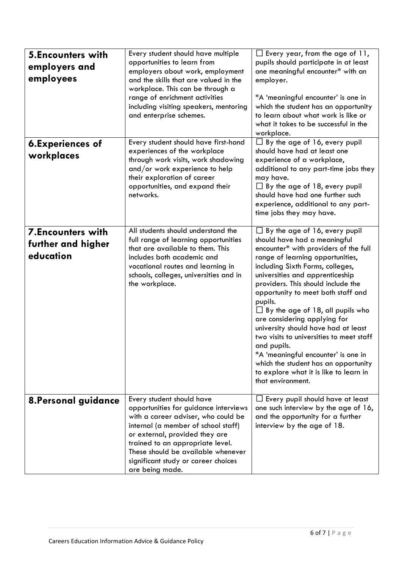| <b>5.Encounters with</b><br>employers and<br>employees      | Every student should have multiple<br>opportunities to learn from<br>employers about work, employment<br>and the skills that are valued in the<br>workplace. This can be through a<br>range of enrichment activities<br>including visiting speakers, mentoring<br>and enterprise schemes.                              | $\Box$ Every year, from the age of 11,<br>pupils should participate in at least<br>one meaningful encounter* with an<br>employer.<br>*A 'meaningful encounter' is one in<br>which the student has an opportunity<br>to learn about what work is like or<br>what it takes to be successful in the<br>workplace.                                                                                                                                                                                                                                                                                                                      |
|-------------------------------------------------------------|------------------------------------------------------------------------------------------------------------------------------------------------------------------------------------------------------------------------------------------------------------------------------------------------------------------------|-------------------------------------------------------------------------------------------------------------------------------------------------------------------------------------------------------------------------------------------------------------------------------------------------------------------------------------------------------------------------------------------------------------------------------------------------------------------------------------------------------------------------------------------------------------------------------------------------------------------------------------|
| <b>6.Experiences of</b><br>workplaces                       | Every student should have first-hand<br>experiences of the workplace<br>through work visits, work shadowing<br>and/or work experience to help<br>their exploration of career<br>opportunities, and expand their<br>networks.                                                                                           | $\Box$ By the age of 16, every pupil<br>should have had at least one<br>experience of a workplace,<br>additional to any part-time jobs they<br>may have.<br>$\Box$ By the age of 18, every pupil<br>should have had one further such<br>experience, additional to any part-<br>time jobs they may have.                                                                                                                                                                                                                                                                                                                             |
| <b>7.Encounters with</b><br>further and higher<br>education | All students should understand the<br>full range of learning opportunities<br>that are available to them. This<br>includes both academic and<br>vocational routes and learning in<br>schools, colleges, universities and in<br>the workplace.                                                                          | By the age of 16, every pupil<br>should have had a meaningful<br>encounter* with providers of the full<br>range of learning opportunities,<br>including Sixth Forms, colleges,<br>universities and apprenticeship<br>providers. This should include the<br>opportunity to meet both staff and<br>pupils.<br>$\Box$ By the age of 18, all pupils who<br>are considering applying for<br>university should have had at least<br>two visits to universities to meet staff<br>and pupils.<br>*A 'meaningful encounter' is one in<br>which the student has an opportunity<br>to explore what it is like to learn in<br>that environment. |
| <b>8. Personal guidance</b>                                 | Every student should have<br>opportunities for guidance interviews<br>with a career adviser, who could be<br>internal (a member of school staff)<br>or external, provided they are<br>trained to an appropriate level.<br>These should be available whenever<br>significant study or career choices<br>are being made. | $\Box$ Every pupil should have at least<br>one such interview by the age of 16,<br>and the opportunity for a further<br>interview by the age of 18.                                                                                                                                                                                                                                                                                                                                                                                                                                                                                 |